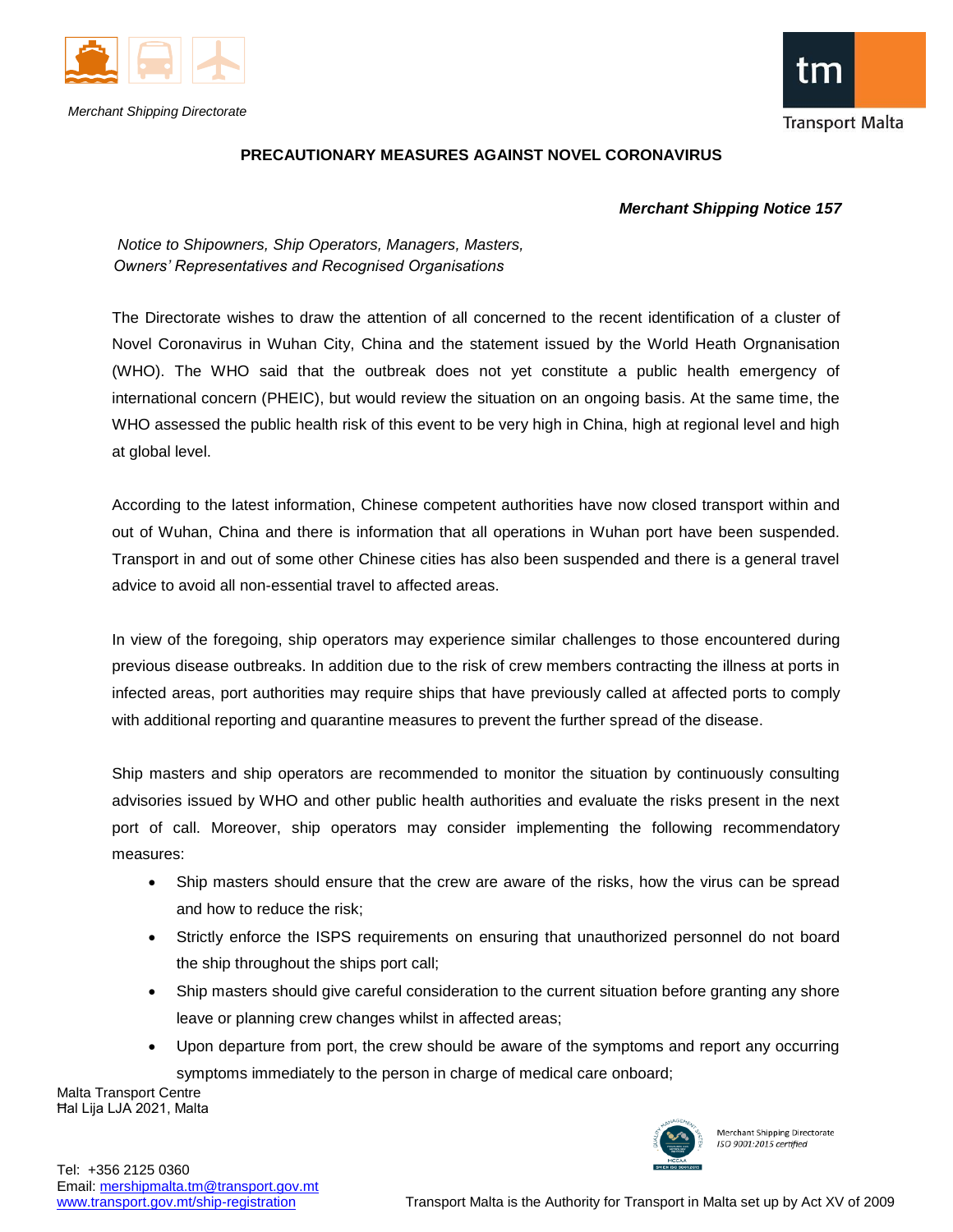

*Merchant Shipping Directorate*



## **PRECAUTIONARY MEASURES AGAINST NOVEL CORONAVIRUS**

## *Merchant Shipping Notice 157*

 *Notice to Shipowners, Ship Operators, Managers, Masters, Owners' Representatives and Recognised Organisations*

The Directorate wishes to draw the attention of all concerned to the recent identification of a cluster of Novel Coronavirus in Wuhan City, China and the statement issued by the World Heath Orgnanisation (WHO). The WHO said that the outbreak does not yet constitute a public health emergency of international concern (PHEIC), but would review the situation on an ongoing basis. At the same time, the WHO assessed the public health risk of this event to be very high in China, high at regional level and high at global level.

According to the latest information, Chinese competent authorities have now closed transport within and out of Wuhan, China and there is information that all operations in Wuhan port have been suspended. Transport in and out of some other Chinese cities has also been suspended and there is a general travel advice to avoid all non-essential travel to affected areas.

In view of the foregoing, ship operators may experience similar challenges to those encountered during previous disease outbreaks. In addition due to the risk of crew members contracting the illness at ports in infected areas, port authorities may require ships that have previously called at affected ports to comply with additional reporting and quarantine measures to prevent the further spread of the disease.

Ship masters and ship operators are recommended to monitor the situation by continuously consulting advisories issued by WHO and other public health authorities and evaluate the risks present in the next port of call. Moreover, ship operators may consider implementing the following recommendatory measures:

- Ship masters should ensure that the crew are aware of the risks, how the virus can be spread and how to reduce the risk;
- Strictly enforce the ISPS requirements on ensuring that unauthorized personnel do not board the ship throughout the ships port call;
- Ship masters should give careful consideration to the current situation before granting any shore leave or planning crew changes whilst in affected areas;
- Upon departure from port, the crew should be aware of the symptoms and report any occurring symptoms immediately to the person in charge of medical care onboard;

Malta Transport Centre Ħal Lija LJA 2021, Malta



Merchant Shipping Directorate ISO 9001:2015 certified